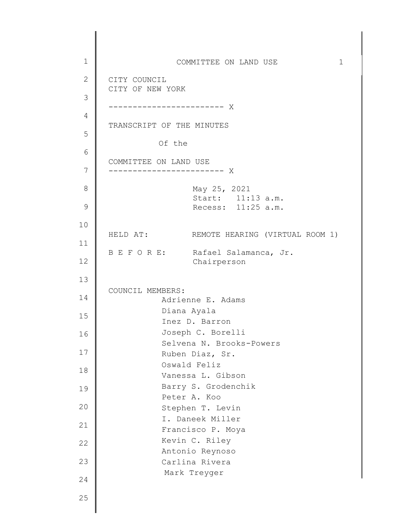1 2 3 4 5 6 7 8 9 10 11 12 13 14 15 16 17 18 19 20 21 22 23 24 25 COMMITTEE ON LAND USE 1 CITY COUNCIL CITY OF NEW YORK ------------------------ X TRANSCRIPT OF THE MINUTES Of the COMMITTEE ON LAND USE ------------------------ X May 25, 2021 Start: 11:13 a.m. Recess: 11:25 a.m. HELD AT: REMOTE HEARING (VIRTUAL ROOM 1) B E F O R E: Rafael Salamanca, Jr. Chairperson COUNCIL MEMBERS: Adrienne E. Adams Diana Ayala Inez D. Barron Joseph C. Borelli Selvena N. Brooks-Powers Ruben Diaz, Sr. Oswald Feliz Vanessa L. Gibson Barry S. Grodenchik Peter A. Koo Stephen T. Levin I. Daneek Miller Francisco P. Moya Kevin C. Riley Antonio Reynoso Carlina Rivera Mark Treyger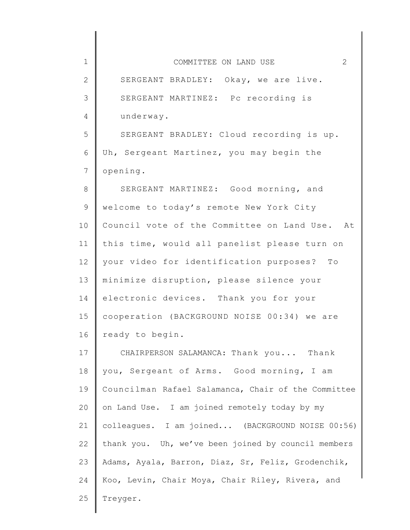| $\mathbf 1$     | 2<br>COMMITTEE ON LAND USE                          |
|-----------------|-----------------------------------------------------|
| $\mathbf{2}$    | SERGEANT BRADLEY: Okay, we are live.                |
| 3               | SERGEANT MARTINEZ: Pc recording is                  |
| 4               | underway.                                           |
| 5               | SERGEANT BRADLEY: Cloud recording is up.            |
| 6               | Uh, Sergeant Martinez, you may begin the            |
| $7\phantom{.0}$ | opening.                                            |
| $\,8\,$         | SERGEANT MARTINEZ: Good morning, and                |
| $\mathsf 9$     | welcome to today's remote New York City             |
| 10              | Council vote of the Committee on Land Use. At       |
| 11              | this time, would all panelist please turn on        |
| 12              | your video for identification purposes? To          |
| 13              | minimize disruption, please silence your            |
| 14              | electronic devices. Thank you for your              |
| 15              | cooperation (BACKGROUND NOISE 00:34) we are         |
| 16              | ready to begin.                                     |
| 17              | CHAIRPERSON SALAMANCA: Thank you Thank              |
| 18              | you, Sergeant of Arms. Good morning, I am           |
| 19              | Councilman Rafael Salamanca, Chair of the Committee |
| 20              | on Land Use. I am joined remotely today by my       |
| 21              | colleagues. I am joined (BACKGROUND NOISE 00:56)    |
| 22              | thank you. Uh, we've been joined by council members |
| 23              | Adams, Ayala, Barron, Diaz, Sr, Feliz, Grodenchik,  |
| 24              | Koo, Levin, Chair Moya, Chair Riley, Rivera, and    |
| 25              | Treyger.                                            |
|                 |                                                     |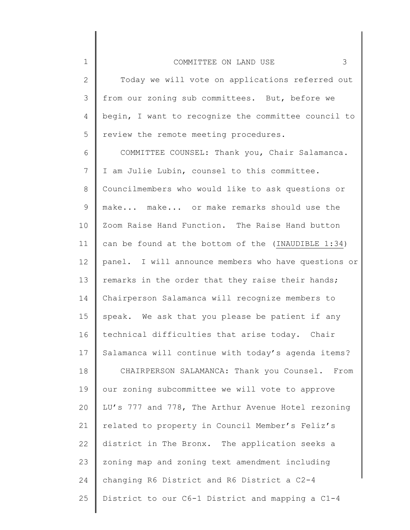1

| $\mathbf{2}$   | Today we will vote on applications referred out      |
|----------------|------------------------------------------------------|
| 3              | from our zoning sub committees. But, before we       |
| 4              | begin, I want to recognize the committee council to  |
| 5              | review the remote meeting procedures.                |
| 6              | COMMITTEE COUNSEL: Thank you, Chair Salamanca.       |
| $7\phantom{.}$ | I am Julie Lubin, counsel to this committee.         |
| 8              | Councilmembers who would like to ask questions or    |
| 9              | make make or make remarks should use the             |
| 10             | Zoom Raise Hand Function. The Raise Hand button      |
| 11             | can be found at the bottom of the (INAUDIBLE 1:34)   |
| 12             | panel. I will announce members who have questions or |
| 13             | remarks in the order that they raise their hands;    |
| 14             | Chairperson Salamanca will recognize members to      |
| 15             | speak. We ask that you please be patient if any      |
| 16             | technical difficulties that arise today. Chair       |
| 17             | Salamanca will continue with today's agenda items?   |
| 18             | CHAIRPERSON SALAMANCA: Thank you Counsel. From       |
| 19             | our zoning subcommittee we will vote to approve      |
| 20             | LU's 777 and 778, The Arthur Avenue Hotel rezoning   |
| 21             | related to property in Council Member's Feliz's      |
| 22             | district in The Bronx. The application seeks a       |
| 23             | zoning map and zoning text amendment including       |
| 24             | changing R6 District and R6 District a C2-4          |
| 25             | District to our C6-1 District and mapping a C1-4     |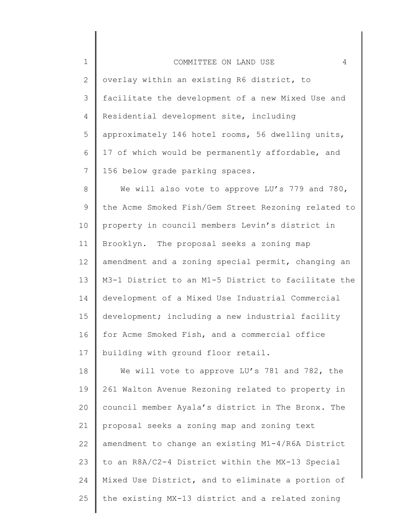| COMMITTEE ON LAND | $\sim$ $\sim$ |  |  |  |  |
|-------------------|---------------|--|--|--|--|
|-------------------|---------------|--|--|--|--|

1

2 3 4 5 6 7 overlay within an existing R6 district, to facilitate the development of a new Mixed Use and Residential development site, including approximately 146 hotel rooms, 56 dwelling units, 17 of which would be permanently affordable, and 156 below grade parking spaces.

8 9 10 11 12 13 14 15 16 17 We will also vote to approve LU's 779 and 780, the Acme Smoked Fish/Gem Street Rezoning related to property in council members Levin's district in Brooklyn. The proposal seeks a zoning map amendment and a zoning special permit, changing an M3-1 District to an M1-5 District to facilitate the development of a Mixed Use Industrial Commercial development; including a new industrial facility for Acme Smoked Fish, and a commercial office building with ground floor retail.

18 19 20 21 22 23 24 25 We will vote to approve LU's 781 and 782, the 261 Walton Avenue Rezoning related to property in council member Ayala's district in The Bronx. The proposal seeks a zoning map and zoning text amendment to change an existing M1-4/R6A District to an R8A/C2-4 District within the MX-13 Special Mixed Use District, and to eliminate a portion of the existing MX-13 district and a related zoning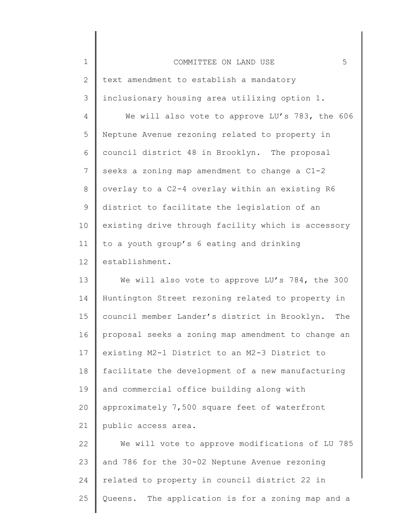| $\mathbf 1$     | 5<br>COMMITTEE ON LAND USE                         |
|-----------------|----------------------------------------------------|
| 2               | text amendment to establish a mandatory            |
| 3               | inclusionary housing area utilizing option 1.      |
| 4               | We will also vote to approve LU's 783, the 606     |
| 5               | Neptune Avenue rezoning related to property in     |
| 6               | council district 48 in Brooklyn. The proposal      |
| $\overline{7}$  | seeks a zoning map amendment to change a C1-2      |
| 8               | overlay to a C2-4 overlay within an existing R6    |
| $\mathsf 9$     | district to facilitate the legislation of an       |
| 10              | existing drive through facility which is accessory |
| 11              | to a youth group's 6 eating and drinking           |
| 12 <sup>°</sup> | establishment.                                     |
| 13              | We will also vote to approve LU's 784, the 300     |
| 14              | Huntington Street rezoning related to property in  |

14 15 16 17 18 19 20 21 Huntington Street rezoning related to property in council member Lander's district in Brooklyn. The proposal seeks a zoning map amendment to change an existing M2-1 District to an M2-3 District to facilitate the development of a new manufacturing and commercial office building along with approximately 7,500 square feet of waterfront public access area.

22 23 24 25 We will vote to approve modifications of LU 785 and 786 for the 30-02 Neptune Avenue rezoning related to property in council district 22 in Queens. The application is for a zoning map and a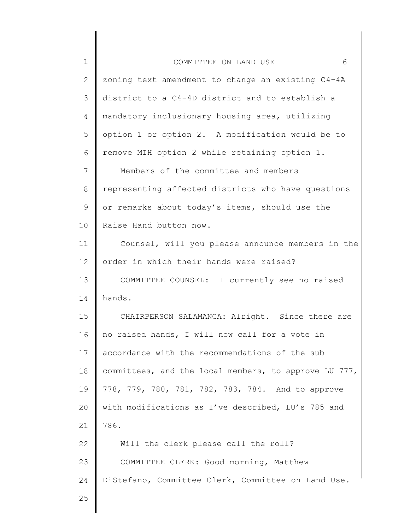| $\mathbf 1$  | 6<br>COMMITTEE ON LAND USE                            |
|--------------|-------------------------------------------------------|
| $\mathbf{2}$ | zoning text amendment to change an existing C4-4A     |
| 3            | district to a C4-4D district and to establish a       |
| 4            | mandatory inclusionary housing area, utilizing        |
| 5            | option 1 or option 2. A modification would be to      |
| 6            | remove MIH option 2 while retaining option 1.         |
| 7            | Members of the committee and members                  |
| 8            | representing affected districts who have questions    |
| 9            | or remarks about today's items, should use the        |
| 10           | Raise Hand button now.                                |
| 11           | Counsel, will you please announce members in the      |
| 12           | order in which their hands were raised?               |
| 13           | COMMITTEE COUNSEL: I currently see no raised          |
| 14           | hands.                                                |
| 15           | CHAIRPERSON SALAMANCA: Alright. Since there are       |
| 16           | no raised hands, I will now call for a vote in        |
| 17           | accordance with the recommendations of the sub        |
| 18           | committees, and the local members, to approve LU 777, |
| 19           | 778, 779, 780, 781, 782, 783, 784. And to approve     |
| 20           | with modifications as I've described, LU's 785 and    |
| 21           | 786.                                                  |
| 22           | Will the clerk please call the roll?                  |
| 23           | COMMITTEE CLERK: Good morning, Matthew                |
| 24           | DiStefano, Committee Clerk, Committee on Land Use.    |
| 25           |                                                       |
|              |                                                       |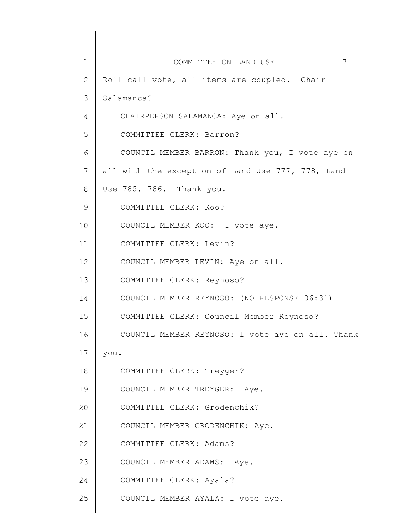| $\mathbf 1$   | 7<br>COMMITTEE ON LAND USE                        |
|---------------|---------------------------------------------------|
| 2             | Roll call vote, all items are coupled. Chair      |
| 3             | Salamanca?                                        |
| 4             | CHAIRPERSON SALAMANCA: Aye on all.                |
| 5             | COMMITTEE CLERK: Barron?                          |
| 6             | COUNCIL MEMBER BARRON: Thank you, I vote aye on   |
| 7             | all with the exception of Land Use 777, 778, Land |
| 8             | Use 785, 786. Thank you.                          |
| $\mathcal{G}$ | COMMITTEE CLERK: Koo?                             |
| 10            | COUNCIL MEMBER KOO: I vote aye.                   |
| 11            | COMMITTEE CLERK: Levin?                           |
| 12            | COUNCIL MEMBER LEVIN: Aye on all.                 |
| 13            | COMMITTEE CLERK: Reynoso?                         |
| 14            | COUNCIL MEMBER REYNOSO: (NO RESPONSE 06:31)       |
| 15            | COMMITTEE CLERK: Council Member Reynoso?          |
| 16            | COUNCIL MEMBER REYNOSO: I vote aye on all. Thank  |
| 17            | you.                                              |
| 18            | COMMITTEE CLERK: Treyger?                         |
| 19            | COUNCIL MEMBER TREYGER: Aye.                      |
| 20            | COMMITTEE CLERK: Grodenchik?                      |
| 21            | COUNCIL MEMBER GRODENCHIK: Aye.                   |
| 22            | COMMITTEE CLERK: Adams?                           |
| 23            | COUNCIL MEMBER ADAMS: Aye.                        |
| 24            | COMMITTEE CLERK: Ayala?                           |
| 25            | COUNCIL MEMBER AYALA: I vote aye.                 |
|               |                                                   |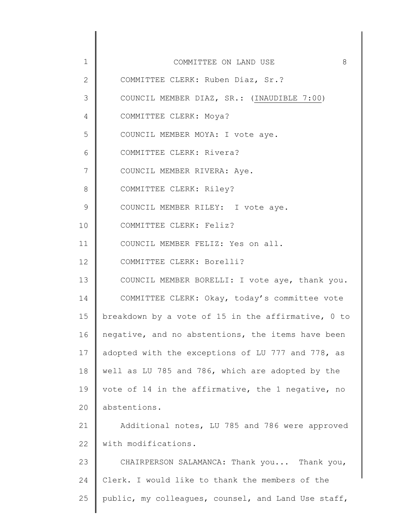| $\mathbf 1$     | 8<br>COMMITTEE ON LAND USE                          |
|-----------------|-----------------------------------------------------|
| $\overline{2}$  | COMMITTEE CLERK: Ruben Diaz, Sr.?                   |
| 3               | COUNCIL MEMBER DIAZ, SR.: (INAUDIBLE 7:00)          |
| 4               | COMMITTEE CLERK: Moya?                              |
| 5               | COUNCIL MEMBER MOYA: I vote aye.                    |
| 6               | COMMITTEE CLERK: Rivera?                            |
| $7\phantom{.}$  | COUNCIL MEMBER RIVERA: Aye.                         |
| 8               | COMMITTEE CLERK: Riley?                             |
| $\mathsf 9$     | COUNCIL MEMBER RILEY: I vote aye.                   |
| 10              | COMMITTEE CLERK: Feliz?                             |
| 11              | COUNCIL MEMBER FELIZ: Yes on all.                   |
| 12              | COMMITTEE CLERK: Borelli?                           |
| 13              | COUNCIL MEMBER BORELLI: I vote aye, thank you.      |
| 14              | COMMITTEE CLERK: Okay, today's committee vote       |
| 15 <sub>1</sub> | breakdown by a vote of 15 in the affirmative, 0 to  |
| 16              | negative, and no abstentions, the items have been   |
| 17              | adopted with the exceptions of LU 777 and 778, as   |
| 18              | well as LU 785 and 786, which are adopted by the    |
| 19              | vote of 14 in the affirmative, the 1 negative, no   |
| 20              | abstentions.                                        |
| 21              | Additional notes, LU 785 and 786 were approved      |
| 22              | with modifications.                                 |
| 23              | CHAIRPERSON SALAMANCA: Thank you Thank you,         |
| 24              | Clerk. I would like to thank the members of the     |
| 25              | public, my colleagues, counsel, and Land Use staff, |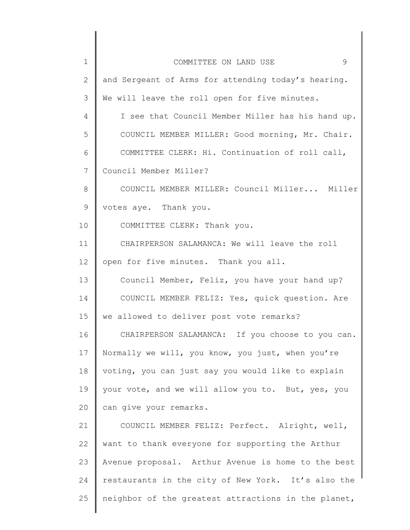| $\mathbf 1$ | 9<br>COMMITTEE ON LAND USE                          |
|-------------|-----------------------------------------------------|
| 2           | and Sergeant of Arms for attending today's hearing. |
| 3           | We will leave the roll open for five minutes.       |
| 4           | I see that Council Member Miller has his hand up.   |
| 5           | COUNCIL MEMBER MILLER: Good morning, Mr. Chair.     |
| 6           | COMMITTEE CLERK: Hi. Continuation of roll call,     |
| 7           | Council Member Miller?                              |
| 8           | COUNCIL MEMBER MILLER: Council Miller Miller        |
| 9           | votes aye. Thank you.                               |
| 10          | COMMITTEE CLERK: Thank you.                         |
| 11          | CHAIRPERSON SALAMANCA: We will leave the roll       |
| 12          | open for five minutes. Thank you all.               |
| 13          | Council Member, Feliz, you have your hand up?       |
| 14          | COUNCIL MEMBER FELIZ: Yes, quick question. Are      |
| 15          | we allowed to deliver post vote remarks?            |
| 16          | CHAIRPERSON SALAMANCA: If you choose to you can.    |
| 17          | Normally we will, you know, you just, when you're   |
| 18          | voting, you can just say you would like to explain  |
| 19          | your vote, and we will allow you to. But, yes, you  |
| 20          | can give your remarks.                              |
| 21          | COUNCIL MEMBER FELIZ: Perfect. Alright, well,       |
| 22          | want to thank everyone for supporting the Arthur    |
| 23          | Avenue proposal. Arthur Avenue is home to the best  |
| 24          | restaurants in the city of New York. It's also the  |
| 25          | neighbor of the greatest attractions in the planet, |
|             |                                                     |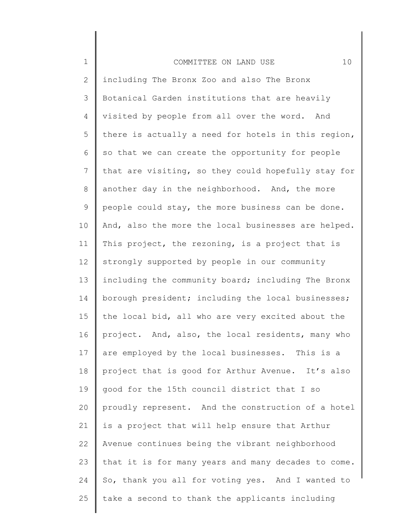| $\mathbf 1$     | 10<br>COMMITTEE ON LAND USE                         |
|-----------------|-----------------------------------------------------|
| 2               | including The Bronx Zoo and also The Bronx          |
| 3               | Botanical Garden institutions that are heavily      |
| 4               | visited by people from all over the word. And       |
| 5               | there is actually a need for hotels in this region, |
| 6               | so that we can create the opportunity for people    |
| 7               | that are visiting, so they could hopefully stay for |
| 8               | another day in the neighborhood. And, the more      |
| 9               | people could stay, the more business can be done.   |
| 10              | And, also the more the local businesses are helped. |
| 11              | This project, the rezoning, is a project that is    |
| 12              | strongly supported by people in our community       |
| 13              | including the community board; including The Bronx  |
| 14              | borough president; including the local businesses;  |
| 15              | the local bid, all who are very excited about the   |
| 16              | project. And, also, the local residents, many who   |
| 17 <sub>2</sub> | are employed by the local businesses. This is a     |
| 18              | project that is good for Arthur Avenue. It's also   |
| 19              | good for the 15th council district that I so        |
| 20              | proudly represent. And the construction of a hotel  |
| 21              | is a project that will help ensure that Arthur      |
| 22              | Avenue continues being the vibrant neighborhood     |
| 23              | that it is for many years and many decades to come. |
| 24              | So, thank you all for voting yes. And I wanted to   |
| 25              | take a second to thank the applicants including     |
|                 |                                                     |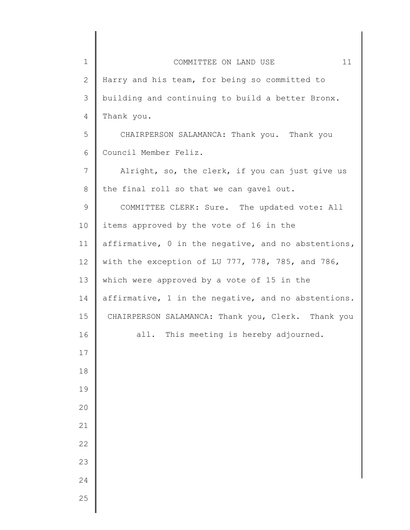| $\mathbf 1$    | 11<br>COMMITTEE ON LAND USE                         |
|----------------|-----------------------------------------------------|
| $\overline{2}$ | Harry and his team, for being so committed to       |
| 3              | building and continuing to build a better Bronx.    |
| 4              | Thank you.                                          |
| 5              | CHAIRPERSON SALAMANCA: Thank you. Thank you         |
| 6              | Council Member Feliz.                               |
| $\overline{7}$ | Alright, so, the clerk, if you can just give us     |
| $8\,$          | the final roll so that we can gavel out.            |
| $\mathsf 9$    | COMMITTEE CLERK: Sure. The updated vote: All        |
| 10             | items approved by the vote of 16 in the             |
| 11             | affirmative, 0 in the negative, and no abstentions, |
| 12             | with the exception of LU 777, 778, 785, and 786,    |
| 13             | which were approved by a vote of 15 in the          |
| 14             | affirmative, 1 in the negative, and no abstentions. |
| 15             | CHAIRPERSON SALAMANCA: Thank you, Clerk. Thank you  |
| 16             | This meeting is hereby adjourned.<br>all.           |
| $17$           |                                                     |
| 18             |                                                     |
| 19             |                                                     |
| 20             |                                                     |
| 21             |                                                     |
| 22             |                                                     |
| 23             |                                                     |
| 24             |                                                     |
| 25             |                                                     |